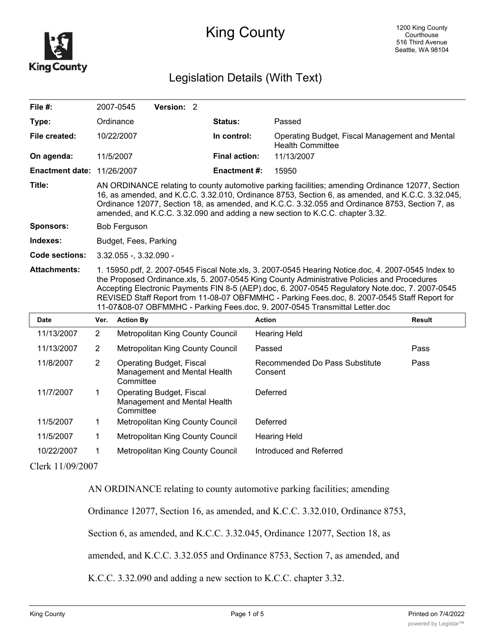

## King County

## Legislation Details (With Text)

| File #:                |                                                                                                                                                                                                                                                                                                                                                                                                                                                                                     | 2007-0545        | Version: 2                                                      |  |                      |                                                                           |               |  |
|------------------------|-------------------------------------------------------------------------------------------------------------------------------------------------------------------------------------------------------------------------------------------------------------------------------------------------------------------------------------------------------------------------------------------------------------------------------------------------------------------------------------|------------------|-----------------------------------------------------------------|--|----------------------|---------------------------------------------------------------------------|---------------|--|
| Type:                  |                                                                                                                                                                                                                                                                                                                                                                                                                                                                                     | Ordinance        |                                                                 |  | <b>Status:</b>       | Passed                                                                    |               |  |
| File created:          |                                                                                                                                                                                                                                                                                                                                                                                                                                                                                     | 10/22/2007       |                                                                 |  | In control:          | Operating Budget, Fiscal Management and Mental<br><b>Health Committee</b> |               |  |
| On agenda:             |                                                                                                                                                                                                                                                                                                                                                                                                                                                                                     | 11/5/2007        |                                                                 |  | <b>Final action:</b> | 11/13/2007                                                                |               |  |
| <b>Enactment date:</b> |                                                                                                                                                                                                                                                                                                                                                                                                                                                                                     | 11/26/2007       |                                                                 |  | <b>Enactment #:</b>  | 15950                                                                     |               |  |
| Title:                 | AN ORDINANCE relating to county automotive parking facilities; amending Ordinance 12077, Section<br>16, as amended, and K.C.C. 3.32.010, Ordinance 8753, Section 6, as amended, and K.C.C. 3.32.045,<br>Ordinance 12077, Section 18, as amended, and K.C.C. 3.32.055 and Ordinance 8753, Section 7, as<br>amended, and K.C.C. 3.32.090 and adding a new section to K.C.C. chapter 3.32.                                                                                             |                  |                                                                 |  |                      |                                                                           |               |  |
| Sponsors:              | <b>Bob Ferguson</b>                                                                                                                                                                                                                                                                                                                                                                                                                                                                 |                  |                                                                 |  |                      |                                                                           |               |  |
| Indexes:               | Budget, Fees, Parking                                                                                                                                                                                                                                                                                                                                                                                                                                                               |                  |                                                                 |  |                      |                                                                           |               |  |
| Code sections:         | $3.32.055 - 3.32.090 -$                                                                                                                                                                                                                                                                                                                                                                                                                                                             |                  |                                                                 |  |                      |                                                                           |               |  |
| <b>Attachments:</b>    | 1. 15950.pdf, 2. 2007-0545 Fiscal Note.xls, 3. 2007-0545 Hearing Notice.doc, 4. 2007-0545 Index to<br>the Proposed Ordinance.xls, 5. 2007-0545 King County Administrative Policies and Procedures<br>Accepting Electronic Payments FIN 8-5 (AEP).doc, 6. 2007-0545 Regulatory Note.doc, 7. 2007-0545<br>REVISED Staff Report from 11-08-07 OBFMMHC - Parking Fees.doc, 8. 2007-0545 Staff Report for<br>11-07&08-07 OBFMMHC - Parking Fees.doc, 9. 2007-0545 Transmittal Letter.doc |                  |                                                                 |  |                      |                                                                           |               |  |
|                        |                                                                                                                                                                                                                                                                                                                                                                                                                                                                                     |                  |                                                                 |  |                      |                                                                           |               |  |
| <b>Date</b>            | Ver.                                                                                                                                                                                                                                                                                                                                                                                                                                                                                | <b>Action By</b> |                                                                 |  |                      | <b>Action</b>                                                             | <b>Result</b> |  |
| 11/13/2007             | $\overline{2}$                                                                                                                                                                                                                                                                                                                                                                                                                                                                      |                  | Metropolitan King County Council                                |  |                      | <b>Hearing Held</b>                                                       |               |  |
| 11/13/2007             | $\overline{2}$                                                                                                                                                                                                                                                                                                                                                                                                                                                                      |                  | Metropolitan King County Council                                |  |                      | Passed                                                                    | Pass          |  |
| 11/8/2007              | $\overline{2}$                                                                                                                                                                                                                                                                                                                                                                                                                                                                      | Committee        | Operating Budget, Fiscal<br>Management and Mental Health        |  |                      | Recommended Do Pass Substitute<br>Consent                                 | Pass          |  |
| 11/7/2007              | 1                                                                                                                                                                                                                                                                                                                                                                                                                                                                                   | Committee        | <b>Operating Budget, Fiscal</b><br>Management and Mental Health |  |                      | Deferred                                                                  |               |  |
| 11/5/2007              | 1                                                                                                                                                                                                                                                                                                                                                                                                                                                                                   |                  | Metropolitan King County Council                                |  |                      | Deferred                                                                  |               |  |
| 11/5/2007              | 1                                                                                                                                                                                                                                                                                                                                                                                                                                                                                   |                  | Metropolitan King County Council                                |  |                      | <b>Hearing Held</b>                                                       |               |  |
| 10/22/2007             | 1                                                                                                                                                                                                                                                                                                                                                                                                                                                                                   |                  | Metropolitan King County Council                                |  |                      | Introduced and Referred                                                   |               |  |

Clerk 11/09/2007

AN ORDINANCE relating to county automotive parking facilities; amending

Ordinance 12077, Section 16, as amended, and K.C.C. 3.32.010, Ordinance 8753,

Section 6, as amended, and K.C.C. 3.32.045, Ordinance 12077, Section 18, as

amended, and K.C.C. 3.32.055 and Ordinance 8753, Section 7, as amended, and

K.C.C. 3.32.090 and adding a new section to K.C.C. chapter 3.32.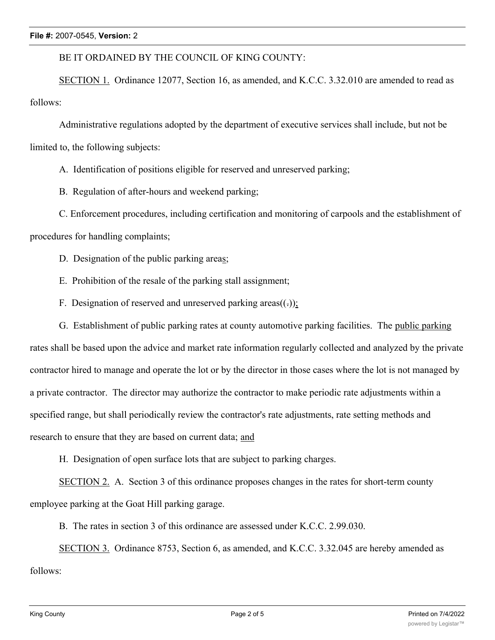BE IT ORDAINED BY THE COUNCIL OF KING COUNTY:

SECTION 1. Ordinance 12077, Section 16, as amended, and K.C.C. 3.32.010 are amended to read as follows:

Administrative regulations adopted by the department of executive services shall include, but not be limited to, the following subjects:

A. Identification of positions eligible for reserved and unreserved parking;

B. Regulation of after-hours and weekend parking;

C. Enforcement procedures, including certification and monitoring of carpools and the establishment of

procedures for handling complaints;

D. Designation of the public parking areas;

E. Prohibition of the resale of the parking stall assignment;

F. Designation of reserved and unreserved parking areas $((.)$ ;

G. Establishment of public parking rates at county automotive parking facilities. The public parking

rates shall be based upon the advice and market rate information regularly collected and analyzed by the private contractor hired to manage and operate the lot or by the director in those cases where the lot is not managed by a private contractor. The director may authorize the contractor to make periodic rate adjustments within a specified range, but shall periodically review the contractor's rate adjustments, rate setting methods and research to ensure that they are based on current data; and

H. Designation of open surface lots that are subject to parking charges.

SECTION 2. A. Section 3 of this ordinance proposes changes in the rates for short-term county employee parking at the Goat Hill parking garage.

B. The rates in section 3 of this ordinance are assessed under K.C.C. 2.99.030.

SECTION 3. Ordinance 8753, Section 6, as amended, and K.C.C. 3.32.045 are hereby amended as

follows: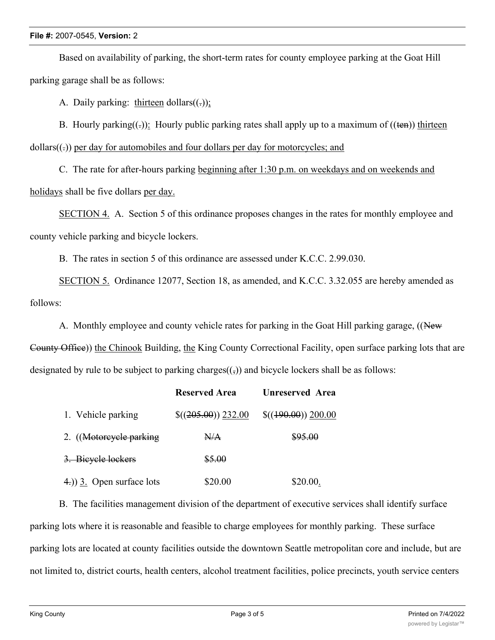## **File #:** 2007-0545, **Version:** 2

Based on availability of parking, the short-term rates for county employee parking at the Goat Hill parking garage shall be as follows:

A. Daily parking: thirteen dollars $((.)$ ;

B. Hourly parking( $\epsilon$ ): Hourly public parking rates shall apply up to a maximum of ( $(\epsilon$ n)) thirteen  $dollars((.))$  per day for automobiles and four dollars per day for motorcycles; and

C. The rate for after-hours parking beginning after 1:30 p.m. on weekdays and on weekends and holidays shall be five dollars per day.

SECTION 4. A. Section 5 of this ordinance proposes changes in the rates for monthly employee and county vehicle parking and bicycle lockers.

B. The rates in section 5 of this ordinance are assessed under K.C.C. 2.99.030.

SECTION 5. Ordinance 12077, Section 18, as amended, and K.C.C. 3.32.055 are hereby amended as follows:

A. Monthly employee and county vehicle rates for parking in the Goat Hill parking garage, ((New

County Office)) the Chinook Building, the King County Correctional Facility, open surface parking lots that are designated by rule to be subject to parking charges $((\tau))$  and bicycle lockers shall be as follows:

|                              | <b>Reserved Area</b>  | <b>Unreserved Area</b> |
|------------------------------|-----------------------|------------------------|
| 1. Vehicle parking           | $\$((205.00)) 232.00$ | $$(490.00)$ 200.00     |
| 2. (Motorcycle parking       | N/A                   | \$95.00                |
| 3. Bieyele lockers           | \$5.00                |                        |
| $(4)$ ) 3. Open surface lots | \$20.00               | \$20.00.               |

B. The facilities management division of the department of executive services shall identify surface parking lots where it is reasonable and feasible to charge employees for monthly parking. These surface parking lots are located at county facilities outside the downtown Seattle metropolitan core and include, but are not limited to, district courts, health centers, alcohol treatment facilities, police precincts, youth service centers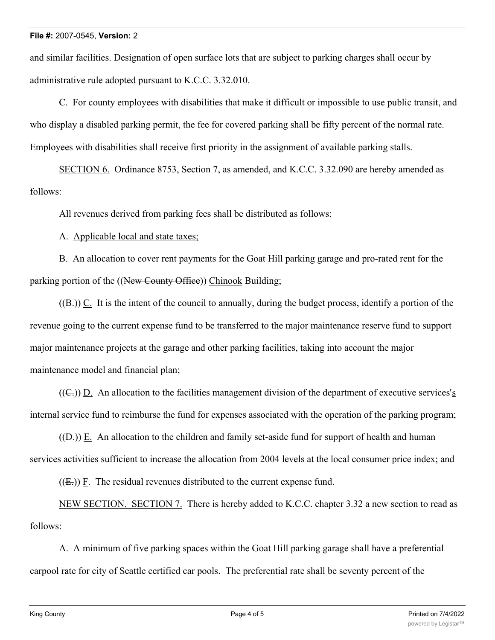and similar facilities. Designation of open surface lots that are subject to parking charges shall occur by administrative rule adopted pursuant to K.C.C. 3.32.010.

C. For county employees with disabilities that make it difficult or impossible to use public transit, and who display a disabled parking permit, the fee for covered parking shall be fifty percent of the normal rate. Employees with disabilities shall receive first priority in the assignment of available parking stalls.

SECTION 6. Ordinance 8753, Section 7, as amended, and K.C.C. 3.32.090 are hereby amended as follows:

All revenues derived from parking fees shall be distributed as follows:

A. Applicable local and state taxes;

B. An allocation to cover rent payments for the Goat Hill parking garage and pro-rated rent for the parking portion of the ((New County Office)) Chinook Building;

 $((B))$  C. It is the intent of the council to annually, during the budget process, identify a portion of the revenue going to the current expense fund to be transferred to the major maintenance reserve fund to support major maintenance projects at the garage and other parking facilities, taking into account the major maintenance model and financial plan;

 $((C<sub>1</sub>))$  D. An allocation to the facilities management division of the department of executive services's internal service fund to reimburse the fund for expenses associated with the operation of the parking program;

 $((D<sub>r</sub>))$  E. An allocation to the children and family set-aside fund for support of health and human services activities sufficient to increase the allocation from 2004 levels at the local consumer price index; and

 $((E))$  F. The residual revenues distributed to the current expense fund.

NEW SECTION. SECTION 7. There is hereby added to K.C.C. chapter 3.32 a new section to read as follows:

A. A minimum of five parking spaces within the Goat Hill parking garage shall have a preferential carpool rate for city of Seattle certified car pools. The preferential rate shall be seventy percent of the